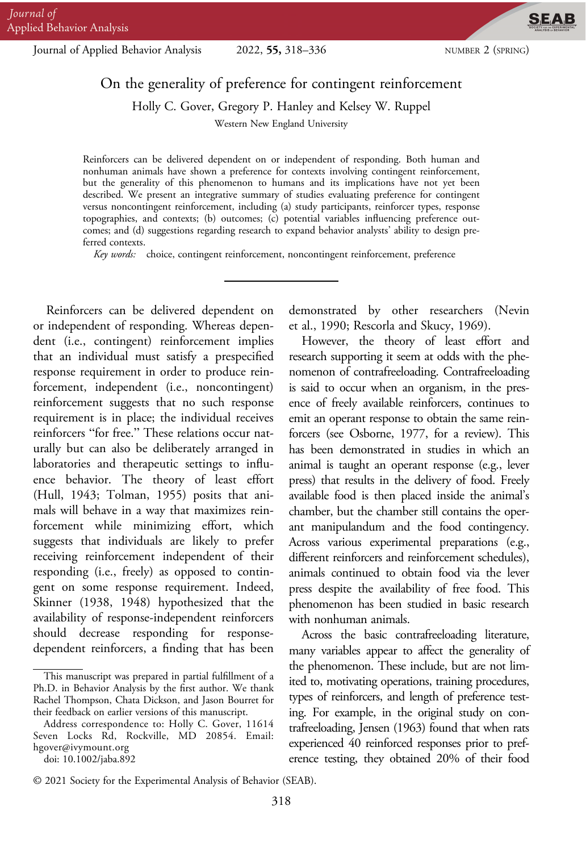Journal of Applied Behavior Analysis 2022, 55, 318–336 NUMBER 2 (SPRING)

**SEAB** 

# On the generality of preference for contingent reinforcement

Holly C. Gover, Gregory P. Hanley and Kelsey W. Ruppel

Western New England University

Reinforcers can be delivered dependent on or independent of responding. Both human and nonhuman animals have shown a preference for contexts involving contingent reinforcement, but the generality of this phenomenon to humans and its implications have not yet been described. We present an integrative summary of studies evaluating preference for contingent versus noncontingent reinforcement, including (a) study participants, reinforcer types, response topographies, and contexts; (b) outcomes; (c) potential variables influencing preference outcomes; and (d) suggestions regarding research to expand behavior analysts' ability to design preferred contexts.

Key words: choice, contingent reinforcement, noncontingent reinforcement, preference

Reinforcers can be delivered dependent on or independent of responding. Whereas dependent (i.e., contingent) reinforcement implies that an individual must satisfy a prespecified response requirement in order to produce reinforcement, independent (i.e., noncontingent) reinforcement suggests that no such response requirement is in place; the individual receives reinforcers "for free." These relations occur naturally but can also be deliberately arranged in laboratories and therapeutic settings to influence behavior. The theory of least effort (Hull, 1943; Tolman, 1955) posits that animals will behave in a way that maximizes reinforcement while minimizing effort, which suggests that individuals are likely to prefer receiving reinforcement independent of their responding (i.e., freely) as opposed to contingent on some response requirement. Indeed, Skinner (1938, 1948) hypothesized that the availability of response-independent reinforcers should decrease responding for responsedependent reinforcers, a finding that has been

demonstrated by other researchers (Nevin et al., 1990; Rescorla and Skucy, 1969).

However, the theory of least effort and research supporting it seem at odds with the phenomenon of contrafreeloading. Contrafreeloading is said to occur when an organism, in the presence of freely available reinforcers, continues to emit an operant response to obtain the same reinforcers (see Osborne, 1977, for a review). This has been demonstrated in studies in which an animal is taught an operant response (e.g., lever press) that results in the delivery of food. Freely available food is then placed inside the animal's chamber, but the chamber still contains the operant manipulandum and the food contingency. Across various experimental preparations (e.g., different reinforcers and reinforcement schedules), animals continued to obtain food via the lever press despite the availability of free food. This phenomenon has been studied in basic research with nonhuman animals.

Across the basic contrafreeloading literature, many variables appear to affect the generality of the phenomenon. These include, but are not limited to, motivating operations, training procedures, types of reinforcers, and length of preference testing. For example, in the original study on contrafreeloading, Jensen (1963) found that when rats experienced 40 reinforced responses prior to preference testing, they obtained 20% of their food

This manuscript was prepared in partial fulfillment of a Ph.D. in Behavior Analysis by the first author. We thank Rachel Thompson, Chata Dickson, and Jason Bourret for their feedback on earlier versions of this manuscript.

Address correspondence to: Holly C. Gover, 11614 Seven Locks Rd, Rockville, MD 20854. Email: hgover@ivymount.org

doi: 10.1002/jaba.892

<sup>© 2021</sup> Society for the Experimental Analysis of Behavior (SEAB).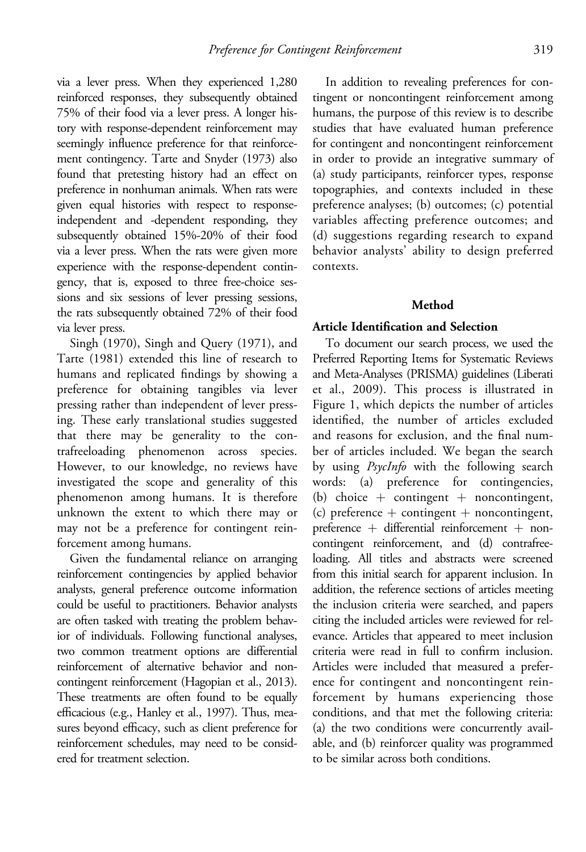via a lever press. When they experienced 1,280 reinforced responses, they subsequently obtained 75% of their food via a lever press. A longer history with response-dependent reinforcement may seemingly influence preference for that reinforcement contingency. Tarte and Snyder (1973) also found that pretesting history had an effect on preference in nonhuman animals. When rats were given equal histories with respect to responseindependent and -dependent responding, they subsequently obtained 15%-20% of their food via a lever press. When the rats were given more experience with the response-dependent contingency, that is, exposed to three free-choice sessions and six sessions of lever pressing sessions, the rats subsequently obtained 72% of their food via lever press.

Singh (1970), Singh and Query (1971), and Tarte (1981) extended this line of research to humans and replicated findings by showing a preference for obtaining tangibles via lever pressing rather than independent of lever pressing. These early translational studies suggested that there may be generality to the contrafreeloading phenomenon across species. However, to our knowledge, no reviews have investigated the scope and generality of this phenomenon among humans. It is therefore unknown the extent to which there may or may not be a preference for contingent reinforcement among humans.

Given the fundamental reliance on arranging reinforcement contingencies by applied behavior analysts, general preference outcome information could be useful to practitioners. Behavior analysts are often tasked with treating the problem behavior of individuals. Following functional analyses, two common treatment options are differential reinforcement of alternative behavior and noncontingent reinforcement (Hagopian et al., 2013). These treatments are often found to be equally efficacious (e.g., Hanley et al., 1997). Thus, measures beyond efficacy, such as client preference for reinforcement schedules, may need to be considered for treatment selection.

In addition to revealing preferences for contingent or noncontingent reinforcement among humans, the purpose of this review is to describe studies that have evaluated human preference for contingent and noncontingent reinforcement in order to provide an integrative summary of (a) study participants, reinforcer types, response topographies, and contexts included in these preference analyses; (b) outcomes; (c) potential variables affecting preference outcomes; and (d) suggestions regarding research to expand behavior analysts' ability to design preferred contexts.

## Method

## Article Identification and Selection

To document our search process, we used the Preferred Reporting Items for Systematic Reviews and Meta-Analyses (PRISMA) guidelines (Liberati et al., 2009). This process is illustrated in Figure 1, which depicts the number of articles identified, the number of articles excluded and reasons for exclusion, and the final number of articles included. We began the search by using *PsycInfo* with the following search words: (a) preference for contingencies, (b) choice  $+$  contingent  $+$  noncontingent, (c) preference  $+$  contingent  $+$  noncontingent, preference + differential reinforcement + noncontingent reinforcement, and (d) contrafreeloading. All titles and abstracts were screened from this initial search for apparent inclusion. In addition, the reference sections of articles meeting the inclusion criteria were searched, and papers citing the included articles were reviewed for relevance. Articles that appeared to meet inclusion criteria were read in full to confirm inclusion. Articles were included that measured a preference for contingent and noncontingent reinforcement by humans experiencing those conditions, and that met the following criteria: (a) the two conditions were concurrently available, and (b) reinforcer quality was programmed to be similar across both conditions.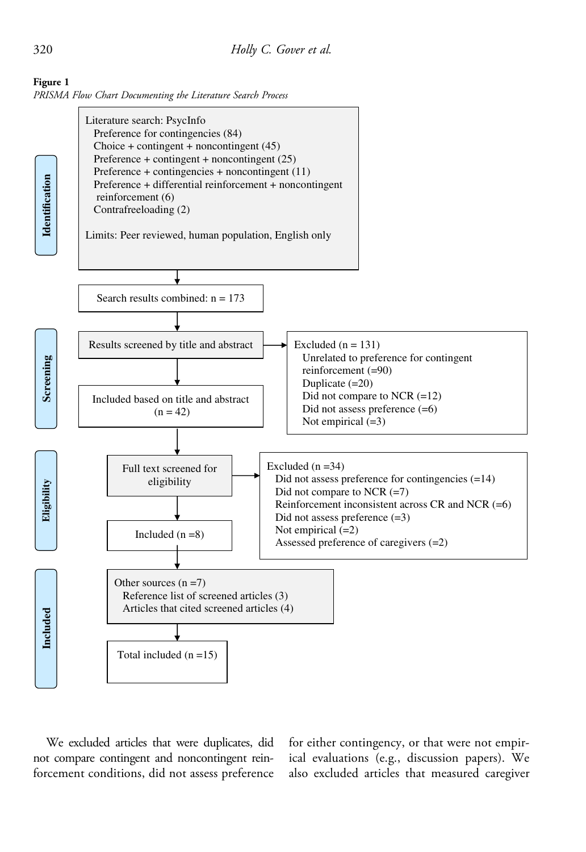



We excluded articles that were duplicates, did not compare contingent and noncontingent reinforcement conditions, did not assess preference

for either contingency, or that were not empirical evaluations (e.g., discussion papers). We also excluded articles that measured caregiver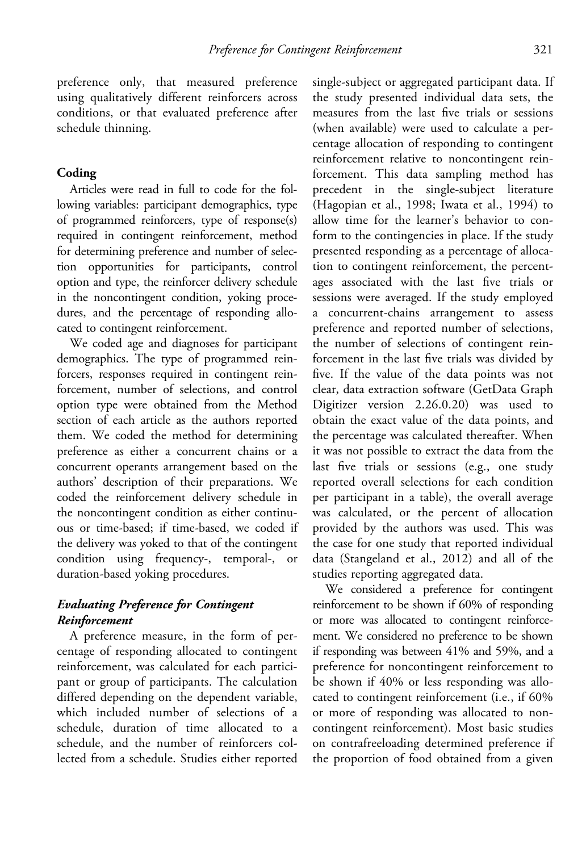preference only, that measured preference using qualitatively different reinforcers across conditions, or that evaluated preference after schedule thinning.

## Coding

Articles were read in full to code for the following variables: participant demographics, type of programmed reinforcers, type of response(s) required in contingent reinforcement, method for determining preference and number of selection opportunities for participants, control option and type, the reinforcer delivery schedule in the noncontingent condition, yoking procedures, and the percentage of responding allocated to contingent reinforcement.

We coded age and diagnoses for participant demographics. The type of programmed reinforcers, responses required in contingent reinforcement, number of selections, and control option type were obtained from the Method section of each article as the authors reported them. We coded the method for determining preference as either a concurrent chains or a concurrent operants arrangement based on the authors' description of their preparations. We coded the reinforcement delivery schedule in the noncontingent condition as either continuous or time-based; if time-based, we coded if the delivery was yoked to that of the contingent condition using frequency-, temporal-, or duration-based yoking procedures.

## Evaluating Preference for Contingent Reinforcement

A preference measure, in the form of percentage of responding allocated to contingent reinforcement, was calculated for each participant or group of participants. The calculation differed depending on the dependent variable, which included number of selections of a schedule, duration of time allocated to a schedule, and the number of reinforcers collected from a schedule. Studies either reported

single-subject or aggregated participant data. If the study presented individual data sets, the measures from the last five trials or sessions (when available) were used to calculate a percentage allocation of responding to contingent reinforcement relative to noncontingent reinforcement. This data sampling method has precedent in the single-subject literature (Hagopian et al., 1998; Iwata et al., 1994) to allow time for the learner's behavior to conform to the contingencies in place. If the study presented responding as a percentage of allocation to contingent reinforcement, the percentages associated with the last five trials or sessions were averaged. If the study employed a concurrent-chains arrangement to assess preference and reported number of selections, the number of selections of contingent reinforcement in the last five trials was divided by five. If the value of the data points was not clear, data extraction software (GetData Graph Digitizer version 2.26.0.20) was used to obtain the exact value of the data points, and the percentage was calculated thereafter. When it was not possible to extract the data from the last five trials or sessions (e.g., one study reported overall selections for each condition per participant in a table), the overall average was calculated, or the percent of allocation provided by the authors was used. This was the case for one study that reported individual data (Stangeland et al., 2012) and all of the studies reporting aggregated data.

We considered a preference for contingent reinforcement to be shown if 60% of responding or more was allocated to contingent reinforcement. We considered no preference to be shown if responding was between 41% and 59%, and a preference for noncontingent reinforcement to be shown if 40% or less responding was allocated to contingent reinforcement (i.e., if 60% or more of responding was allocated to noncontingent reinforcement). Most basic studies on contrafreeloading determined preference if the proportion of food obtained from a given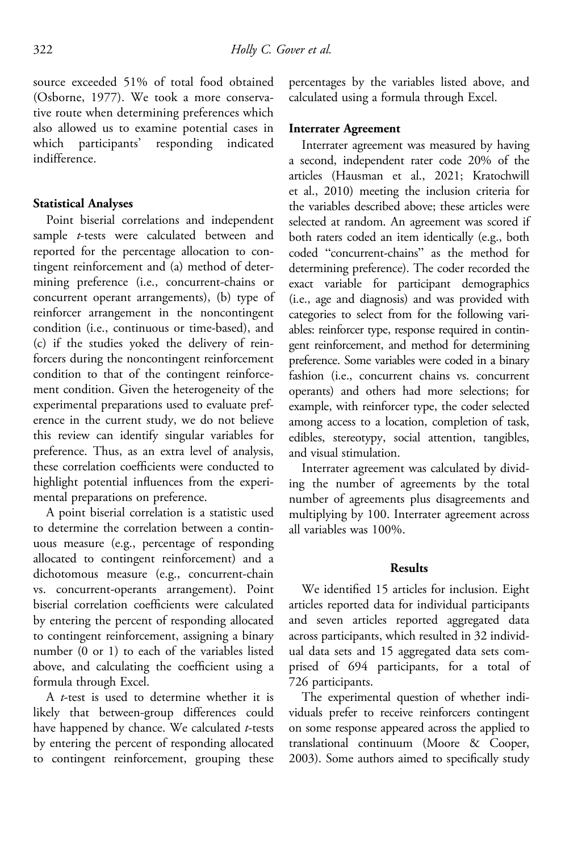source exceeded 51% of total food obtained (Osborne, 1977). We took a more conservative route when determining preferences which also allowed us to examine potential cases in which participants' responding indicated indifference.

## Statistical Analyses

Point biserial correlations and independent sample t-tests were calculated between and reported for the percentage allocation to contingent reinforcement and (a) method of determining preference (i.e., concurrent-chains or concurrent operant arrangements), (b) type of reinforcer arrangement in the noncontingent condition (i.e., continuous or time-based), and (c) if the studies yoked the delivery of reinforcers during the noncontingent reinforcement condition to that of the contingent reinforcement condition. Given the heterogeneity of the experimental preparations used to evaluate preference in the current study, we do not believe this review can identify singular variables for preference. Thus, as an extra level of analysis, these correlation coefficients were conducted to highlight potential influences from the experimental preparations on preference.

A point biserial correlation is a statistic used to determine the correlation between a continuous measure (e.g., percentage of responding allocated to contingent reinforcement) and a dichotomous measure (e.g., concurrent-chain vs. concurrent-operants arrangement). Point biserial correlation coefficients were calculated by entering the percent of responding allocated to contingent reinforcement, assigning a binary number (0 or 1) to each of the variables listed above, and calculating the coefficient using a formula through Excel.

A t-test is used to determine whether it is likely that between-group differences could have happened by chance. We calculated  $t$ -tests by entering the percent of responding allocated to contingent reinforcement, grouping these

percentages by the variables listed above, and calculated using a formula through Excel.

### Interrater Agreement

Interrater agreement was measured by having a second, independent rater code 20% of the articles (Hausman et al., 2021; Kratochwill et al., 2010) meeting the inclusion criteria for the variables described above; these articles were selected at random. An agreement was scored if both raters coded an item identically (e.g., both coded "concurrent-chains" as the method for determining preference). The coder recorded the exact variable for participant demographics (i.e., age and diagnosis) and was provided with categories to select from for the following variables: reinforcer type, response required in contingent reinforcement, and method for determining preference. Some variables were coded in a binary fashion (i.e., concurrent chains vs. concurrent operants) and others had more selections; for example, with reinforcer type, the coder selected among access to a location, completion of task, edibles, stereotypy, social attention, tangibles, and visual stimulation.

Interrater agreement was calculated by dividing the number of agreements by the total number of agreements plus disagreements and multiplying by 100. Interrater agreement across all variables was 100%.

#### Results

We identified 15 articles for inclusion. Eight articles reported data for individual participants and seven articles reported aggregated data across participants, which resulted in 32 individual data sets and 15 aggregated data sets comprised of 694 participants, for a total of 726 participants.

The experimental question of whether individuals prefer to receive reinforcers contingent on some response appeared across the applied to translational continuum (Moore & Cooper, 2003). Some authors aimed to specifically study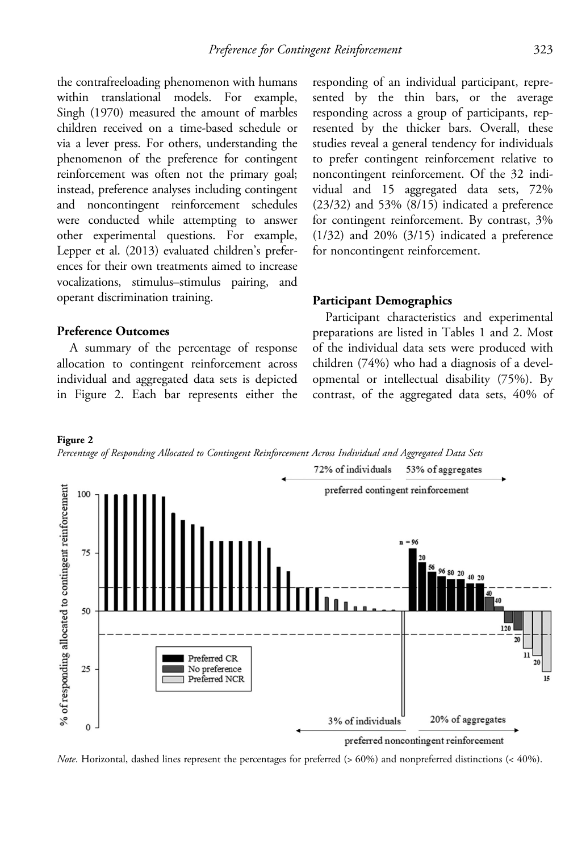the contrafreeloading phenomenon with humans within translational models. For example, Singh (1970) measured the amount of marbles children received on a time-based schedule or via a lever press. For others, understanding the phenomenon of the preference for contingent reinforcement was often not the primary goal; instead, preference analyses including contingent and noncontingent reinforcement schedules were conducted while attempting to answer other experimental questions. For example, Lepper et al. (2013) evaluated children's preferences for their own treatments aimed to increase vocalizations, stimulus–stimulus pairing, and operant discrimination training.

### Preference Outcomes

Figure 2

A summary of the percentage of response allocation to contingent reinforcement across individual and aggregated data sets is depicted in Figure 2. Each bar represents either the responding of an individual participant, represented by the thin bars, or the average responding across a group of participants, represented by the thicker bars. Overall, these studies reveal a general tendency for individuals to prefer contingent reinforcement relative to noncontingent reinforcement. Of the 32 individual and 15 aggregated data sets, 72% (23/32) and 53% (8/15) indicated a preference for contingent reinforcement. By contrast, 3% (1/32) and 20% (3/15) indicated a preference for noncontingent reinforcement.

#### Participant Demographics

Participant characteristics and experimental preparations are listed in Tables 1 and 2. Most of the individual data sets were produced with children (74%) who had a diagnosis of a developmental or intellectual disability (75%). By contrast, of the aggregated data sets, 40% of



Note. Horizontal, dashed lines represent the percentages for preferred  $(> 60\%)$  and nonpreferred distinctions  $(< 40\%)$ .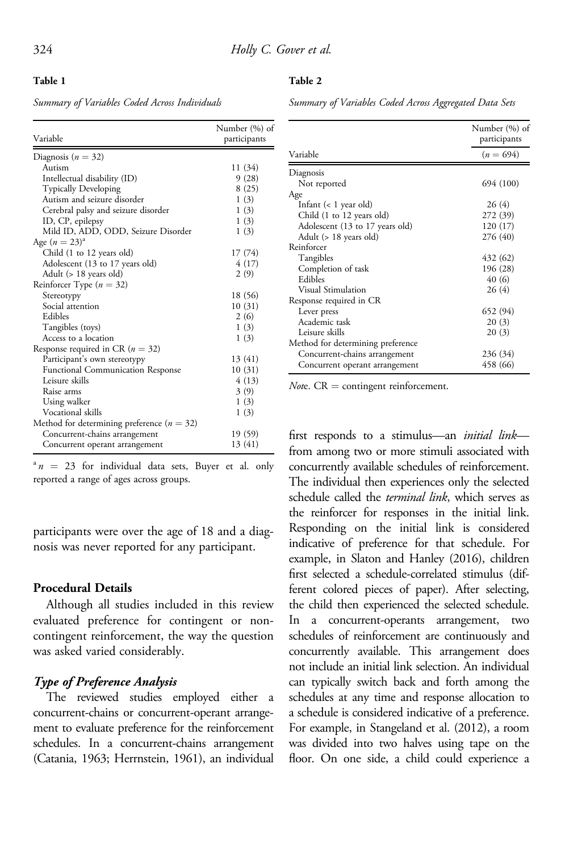Table 2

#### Table 1

Summary of Variables Coded Across Individuals

Summary of Variables Coded Across Aggregated Data Sets

| Variable                                       | Number (%) of<br>participants |
|------------------------------------------------|-------------------------------|
| Diagnosis ( $n = 32$ )                         |                               |
| Autism                                         | 11 (34)                       |
| Intellectual disability (ID)                   | 9(28)                         |
| Typically Developing                           | 8(25)                         |
| Autism and seizure disorder                    | 1(3)                          |
| Cerebral palsy and seizure disorder            | 1(3)                          |
| ID, CP, epilepsy                               | 1(3)                          |
| Mild ID, ADD, ODD, Seizure Disorder            | 1(3)                          |
| Age $(n = 23)^{a}$                             |                               |
| Child (1 to 12 years old)                      | 17 (74)                       |
| Adolescent (13 to 17 years old)                | 4 (17)                        |
| Adult (> 18 years old)                         | 2(9)                          |
| Reinforcer Type ( $n = 32$ )                   |                               |
| Stereotypy                                     | 18 (56)                       |
| Social attention                               | 10(31)                        |
| Edibles                                        | 2(6)                          |
| Tangibles (toys)                               | 1(3)                          |
| Access to a location                           | 1(3)                          |
| Response required in CR ( $n = 32$ )           |                               |
| Participant's own stereotypy                   | 13 (41)                       |
| <b>Functional Communication Response</b>       | 10(31)                        |
| Leisure skills                                 | 4(13)                         |
| Raise arms                                     | 3(9)                          |
| Using walker                                   | 1(3)                          |
| Vocational skills                              | 1(3)                          |
| Method for determining preference ( $n = 32$ ) |                               |
| Concurrent-chains arrangement                  | 19 (59)                       |
| Concurrent operant arrangement                 | 13 (41)                       |

 $n^a n = 23$  for individual data sets, Buyer et al. only reported a range of ages across groups.

participants were over the age of 18 and a diagnosis was never reported for any participant.

## Procedural Details

Although all studies included in this review evaluated preference for contingent or noncontingent reinforcement, the way the question was asked varied considerably.

## Type of Preference Analysis

The reviewed studies employed either a concurrent-chains or concurrent-operant arrangement to evaluate preference for the reinforcement schedules. In a concurrent-chains arrangement (Catania, 1963; Herrnstein, 1961), an individual

|                                   | Number (%) of<br>participants |
|-----------------------------------|-------------------------------|
| Variable                          | $(n = 694)$                   |
| Diagnosis                         |                               |
| Not reported                      | 694 (100)                     |
| Age                               |                               |
| Infant $(< 1$ year old)           | 26 (4)                        |
| Child (1 to 12 years old)         | 272 (39)                      |
| Adolescent (13 to 17 years old)   | 120 (17)                      |
| Adult (> 18 years old)            | 276 (40)                      |
| Reinforcer                        |                               |
| Tangibles                         | 432 (62)                      |
| Completion of task                | 196 (28)                      |
| Edibles                           | 40 (6)                        |
| <b>Visual Stimulation</b>         | 26(4)                         |
| Response required in CR           |                               |
| Lever press                       | 652 (94)                      |
| Academic task                     | 20(3)                         |
| Leisure skills                    | 20(3)                         |
| Method for determining preference |                               |
| Concurrent-chains arrangement     | 236 (34)                      |
| Concurrent operant arrangement    | 458 (66)                      |

*Note.*  $CR =$  contingent reinforcement.

first responds to a stimulus—an *initial link* from among two or more stimuli associated with concurrently available schedules of reinforcement. The individual then experiences only the selected schedule called the terminal link, which serves as the reinforcer for responses in the initial link. Responding on the initial link is considered indicative of preference for that schedule. For example, in Slaton and Hanley (2016), children first selected a schedule-correlated stimulus (different colored pieces of paper). After selecting, the child then experienced the selected schedule. In a concurrent-operants arrangement, two schedules of reinforcement are continuously and concurrently available. This arrangement does not include an initial link selection. An individual can typically switch back and forth among the schedules at any time and response allocation to a schedule is considered indicative of a preference. For example, in Stangeland et al. (2012), a room was divided into two halves using tape on the floor. On one side, a child could experience a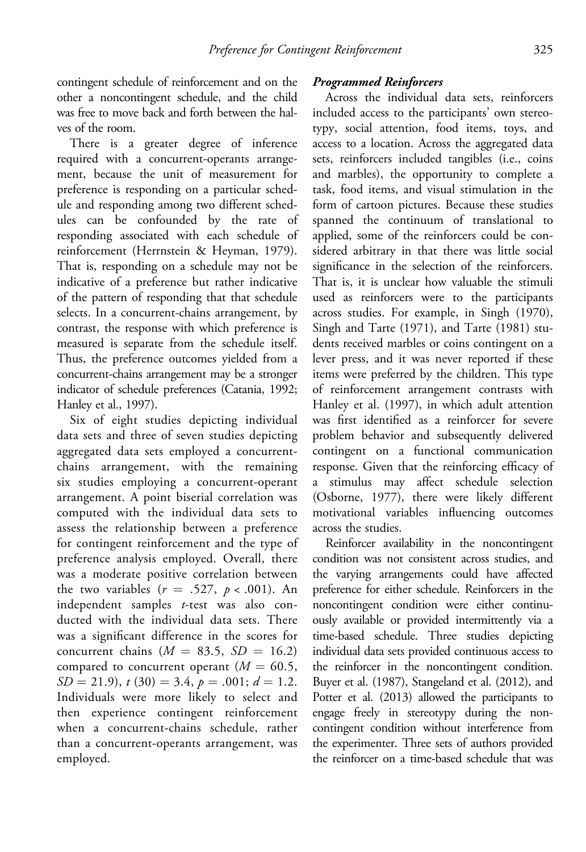contingent schedule of reinforcement and on the other a noncontingent schedule, and the child was free to move back and forth between the halves of the room.

There is a greater degree of inference required with a concurrent-operants arrangement, because the unit of measurement for preference is responding on a particular schedule and responding among two different schedules can be confounded by the rate of responding associated with each schedule of reinforcement (Herrnstein & Heyman, 1979). That is, responding on a schedule may not be indicative of a preference but rather indicative of the pattern of responding that that schedule selects. In a concurrent-chains arrangement, by contrast, the response with which preference is measured is separate from the schedule itself. Thus, the preference outcomes yielded from a concurrent-chains arrangement may be a stronger indicator of schedule preferences (Catania, 1992; Hanley et al., 1997).

Six of eight studies depicting individual data sets and three of seven studies depicting aggregated data sets employed a concurrentchains arrangement, with the remaining six studies employing a concurrent-operant arrangement. A point biserial correlation was computed with the individual data sets to assess the relationship between a preference for contingent reinforcement and the type of preference analysis employed. Overall, there was a moderate positive correlation between the two variables  $(r = .527, p < .001)$ . An independent samples t-test was also conducted with the individual data sets. There was a significant difference in the scores for concurrent chains ( $M = 83.5$ ,  $SD = 16.2$ ) compared to concurrent operant  $(M = 60.5,$  $SD = 21.9$ ,  $t(30) = 3.4$ ,  $p = .001$ ;  $d = 1.2$ . Individuals were more likely to select and then experience contingent reinforcement when a concurrent-chains schedule, rather than a concurrent-operants arrangement, was employed.

## Programmed Reinforcers

Across the individual data sets, reinforcers included access to the participants' own stereotypy, social attention, food items, toys, and access to a location. Across the aggregated data sets, reinforcers included tangibles (i.e., coins and marbles), the opportunity to complete a task, food items, and visual stimulation in the form of cartoon pictures. Because these studies spanned the continuum of translational to applied, some of the reinforcers could be considered arbitrary in that there was little social significance in the selection of the reinforcers. That is, it is unclear how valuable the stimuli used as reinforcers were to the participants across studies. For example, in Singh (1970), Singh and Tarte (1971), and Tarte (1981) students received marbles or coins contingent on a lever press, and it was never reported if these items were preferred by the children. This type of reinforcement arrangement contrasts with Hanley et al. (1997), in which adult attention was first identified as a reinforcer for severe problem behavior and subsequently delivered contingent on a functional communication response. Given that the reinforcing efficacy of a stimulus may affect schedule selection (Osborne, 1977), there were likely different motivational variables influencing outcomes across the studies.

Reinforcer availability in the noncontingent condition was not consistent across studies, and the varying arrangements could have affected preference for either schedule. Reinforcers in the noncontingent condition were either continuously available or provided intermittently via a time-based schedule. Three studies depicting individual data sets provided continuous access to the reinforcer in the noncontingent condition. Buyer et al. (1987), Stangeland et al. (2012), and Potter et al. (2013) allowed the participants to engage freely in stereotypy during the noncontingent condition without interference from the experimenter. Three sets of authors provided the reinforcer on a time-based schedule that was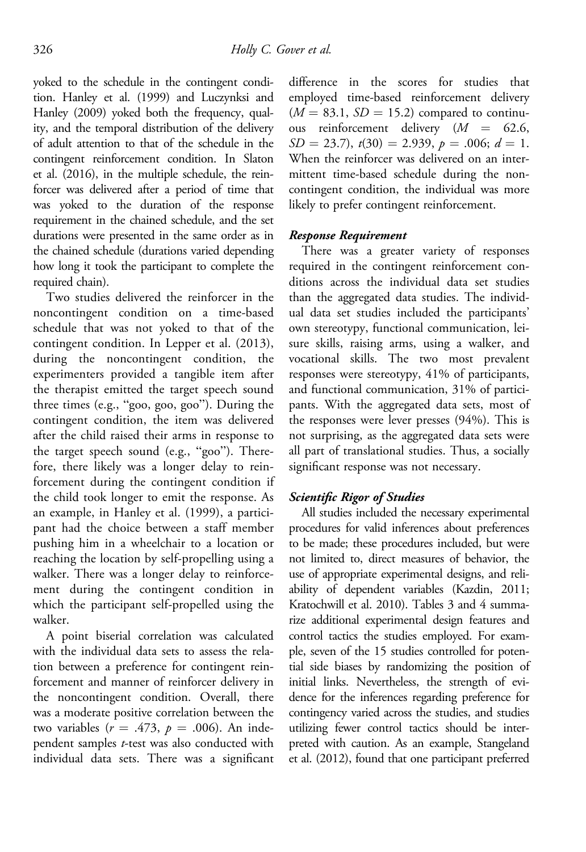yoked to the schedule in the contingent condition. Hanley et al. (1999) and Luczynksi and Hanley (2009) yoked both the frequency, quality, and the temporal distribution of the delivery of adult attention to that of the schedule in the contingent reinforcement condition. In Slaton et al. (2016), in the multiple schedule, the reinforcer was delivered after a period of time that was yoked to the duration of the response requirement in the chained schedule, and the set durations were presented in the same order as in the chained schedule (durations varied depending how long it took the participant to complete the required chain).

Two studies delivered the reinforcer in the noncontingent condition on a time-based schedule that was not yoked to that of the contingent condition. In Lepper et al. (2013), during the noncontingent condition, the experimenters provided a tangible item after the therapist emitted the target speech sound three times (e.g., "goo, goo, goo"). During the contingent condition, the item was delivered after the child raised their arms in response to the target speech sound (e.g., "goo"). Therefore, there likely was a longer delay to reinforcement during the contingent condition if the child took longer to emit the response. As an example, in Hanley et al. (1999), a participant had the choice between a staff member pushing him in a wheelchair to a location or reaching the location by self-propelling using a walker. There was a longer delay to reinforcement during the contingent condition in which the participant self-propelled using the walker.

A point biserial correlation was calculated with the individual data sets to assess the relation between a preference for contingent reinforcement and manner of reinforcer delivery in the noncontingent condition. Overall, there was a moderate positive correlation between the two variables ( $r = .473$ ,  $p = .006$ ). An independent samples t-test was also conducted with individual data sets. There was a significant difference in the scores for studies that employed time-based reinforcement delivery  $(M = 83.1, SD = 15.2)$  compared to continuous reinforcement delivery  $(M = 62.6,$  $SD = 23.7$ ,  $t(30) = 2.939$ ,  $p = .006$ ;  $d = 1$ . When the reinforcer was delivered on an intermittent time-based schedule during the noncontingent condition, the individual was more likely to prefer contingent reinforcement.

### Response Requirement

There was a greater variety of responses required in the contingent reinforcement conditions across the individual data set studies than the aggregated data studies. The individual data set studies included the participants' own stereotypy, functional communication, leisure skills, raising arms, using a walker, and vocational skills. The two most prevalent responses were stereotypy, 41% of participants, and functional communication, 31% of participants. With the aggregated data sets, most of the responses were lever presses (94%). This is not surprising, as the aggregated data sets were all part of translational studies. Thus, a socially significant response was not necessary.

## Scientific Rigor of Studies

All studies included the necessary experimental procedures for valid inferences about preferences to be made; these procedures included, but were not limited to, direct measures of behavior, the use of appropriate experimental designs, and reliability of dependent variables (Kazdin, 2011; Kratochwill et al. 2010). Tables 3 and 4 summarize additional experimental design features and control tactics the studies employed. For example, seven of the 15 studies controlled for potential side biases by randomizing the position of initial links. Nevertheless, the strength of evidence for the inferences regarding preference for contingency varied across the studies, and studies utilizing fewer control tactics should be interpreted with caution. As an example, Stangeland et al. (2012), found that one participant preferred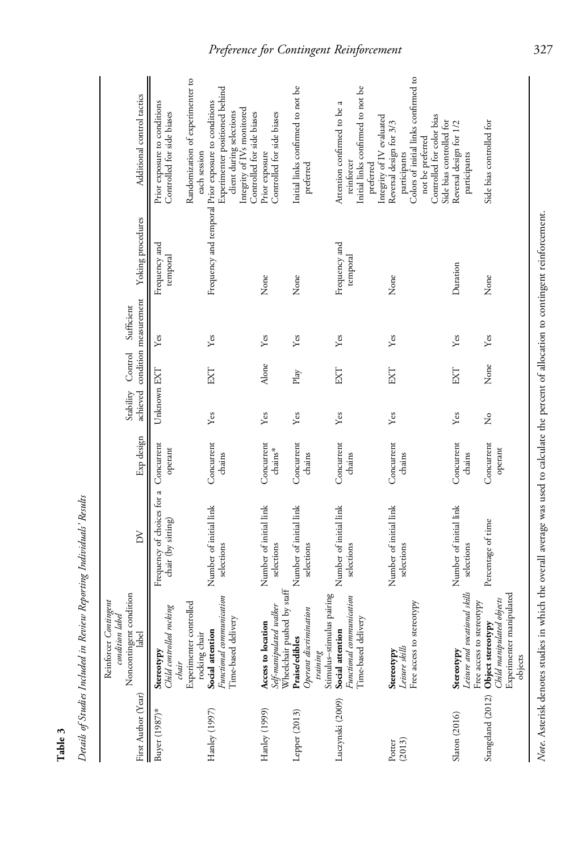| First Author (Year) | Noncontingent condition<br>Reinforcer Contingen<br>condition label<br>label                                        | $\geq$                                           | Exp design            | Stability Control |       | achieved condition measurement<br>Sufficient | Yoking procedures         | Additional control tactics                                                                                                                                                                          |
|---------------------|--------------------------------------------------------------------------------------------------------------------|--------------------------------------------------|-----------------------|-------------------|-------|----------------------------------------------|---------------------------|-----------------------------------------------------------------------------------------------------------------------------------------------------------------------------------------------------|
| Buyer (1987)*       | Child controlled rocking<br>Stereotypy<br>chair                                                                    | Frequency of choices for a<br>chair (by sitting) | Concurrent<br>operant | Unknown EXT       |       | Yes                                          | Frequency and<br>temporal | Prior exposure to conditions<br>Controlled for side biases                                                                                                                                          |
| Hanley (1997)       | Functional communication<br>Experimenter controlled<br>Time-based delivery<br>Social attention<br>rocking chair    | Number of initial link<br>selections             | Concurrent<br>chains  | Yes               | EXT   | Yes                                          |                           | Randomization of experimenter to<br>Experimenter positioned behind<br>Frequency and temporal Prior exposure to conditions<br>Integrity of IVs monitored<br>client during selections<br>each session |
| Hanley (1999)       | Self-manipulated walker<br>Access to location                                                                      | Number of initial link<br>selections             | Concurrent<br>chains* | Yes               | Alone | Yes                                          | None                      | Controlled for side biases<br>Controlled for side biases<br>Prior exposure                                                                                                                          |
| Lepper (2013)       | Wheelchair pushed by staff<br>Operant discrimination<br>Praise/edibles<br>training                                 | Number of initial link<br>selections             | Concurrent<br>chains  | Yes               | Play  | Yes                                          | None                      | Initial links confirmed to not be<br>preferred                                                                                                                                                      |
| Luczynski (2009)    | Stimulus-stimulus pairing<br>Functional communication<br>Time-based delivery<br>Social attention                   | Number of initial link<br>selections             | Concurrent<br>chains  | Yes               | EXT   | Yes                                          | Frequency and<br>temporal | Initial links confirmed to not be<br>Attention confirmed to be a<br>reinforcer<br>preferred                                                                                                         |
| (2013)<br>Potter    | Free access to stereotypy<br>Leisure skills<br>Stereotypy                                                          | Number of initial link<br>selections             | Concurrent<br>chains  | Yes               | EXT   | Yes                                          | None                      | Colors of initial links confirmed to<br>Controlled for color bias<br>Integrity of IV evaluated<br>Reversal design for 3/3<br>not be preferred<br>participants                                       |
| Slaton (2016)       | Leisure and vocational skills<br>Stereotypy                                                                        | Number of initial link<br>selections             | Concurrent<br>chains  | Yes               | EXT   | Yes                                          | Duration                  | Side bias controlled for<br>Reversal design for 1/2<br>participants                                                                                                                                 |
| Stangeland (2012)   | Experimenter manipulated<br>Child manipulated objects<br>Free access to stereotypy<br>Object stereotypy<br>objects | Percentage of time                               | Concurrent<br>operant | 2°                | None  | Yes                                          | None                      | Side bias controlled for                                                                                                                                                                            |

Details of Studies Included in Review Reporting Individuals' Results Details of Studies Included in Review Reporting Individuals' Results

Table 3

Note. Asterisk denotes studies in which the overall average was used to calculate the percent of allocation to contingent reinforcement. Note. Asterisk denotes studies in which the overall average was used to calculate the percent of allocation to contingent reinforcement.

 $\overline{\phantom{a}}$ 

# Preference for Contingent Reinforcement 327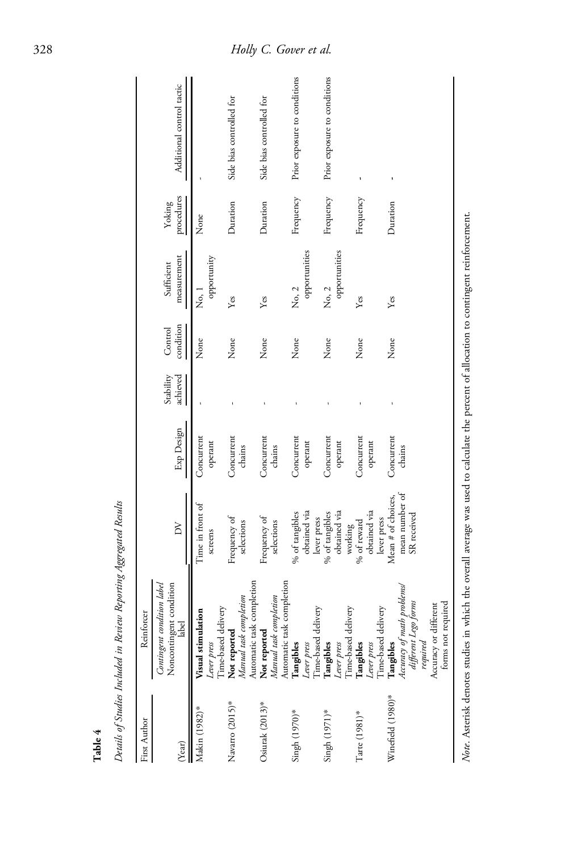| First Author       | Reinforcer                                                        |                                                                                                  |                      |                       |                      |                           |                      |                              |
|--------------------|-------------------------------------------------------------------|--------------------------------------------------------------------------------------------------|----------------------|-----------------------|----------------------|---------------------------|----------------------|------------------------------|
| (Year)             | label<br>Noncontingent condition<br>label<br>Contingent condition | $\geq$                                                                                           | Exp Design           | Stability<br>achieved | condition<br>Control | measurement<br>Sufficient | procedures<br>Yoking | Additional control tactic    |
| Makin (1982)*      | Visual stimulation                                                | Time in front of                                                                                 | Concurrent           |                       | None                 | No, 1                     | None                 |                              |
|                    | Time-based delivery<br>Lever press                                | screens                                                                                          | operant              |                       |                      | opportunity               |                      |                              |
| Navarro (2015)*    | Manual task completion<br>Not reported                            | Frequency of<br>selections                                                                       | Concurrent<br>chains |                       | None                 | Yes                       | Duration             | Side bias controlled for     |
|                    | Automatic task completion                                         |                                                                                                  |                      |                       |                      |                           |                      |                              |
| Osiurak $(2013)^*$ | Not reported                                                      | Frequency of                                                                                     | Concurrent           |                       | None                 | Yes                       | Duration             | Side bias controlled for     |
|                    | Automatic task completion<br>Manual task completion               | selections                                                                                       | chains               |                       |                      |                           |                      |                              |
| Singh (1970)*      | Tangibles                                                         | % of tangibles                                                                                   | Concurrent           |                       | None                 | No, 2                     | Frequency            | Prior exposure to conditions |
|                    | Lever press                                                       | obtained via                                                                                     | operant              |                       |                      | opportunities             |                      |                              |
|                    | Time-based delivery                                               | lever press                                                                                      |                      |                       |                      |                           |                      |                              |
| Singh (1971)*      | Tangibles                                                         | % of tangibles                                                                                   | Concurrent           |                       | None                 | No, 2                     | Frequency            | Prior exposure to conditions |
|                    |                                                                   | obtained via                                                                                     | operant              |                       |                      | opportunities             |                      |                              |
|                    | Lever press<br>Time-based delivery                                | working                                                                                          |                      |                       |                      |                           |                      |                              |
| Tarte (1981)*      | Tangibles                                                         | % of reward                                                                                      | Concurrent           |                       | None                 | Yes                       | Frequency            | 1                            |
|                    | Lever press                                                       | obtained via                                                                                     | operant              |                       |                      |                           |                      |                              |
|                    | Time-based delivery                                               | lever press                                                                                      |                      |                       |                      |                           |                      |                              |
| Winefield (1980)*  | Tangibles                                                         | Mean # of choices,                                                                               | Concurrent           |                       | None                 | Yes                       | Duration             |                              |
|                    | Accuracy of math problems!<br>different Lego forms                | mean number of                                                                                   | chains               |                       |                      |                           |                      |                              |
|                    |                                                                   | SR received                                                                                      |                      |                       |                      |                           |                      |                              |
|                    | required                                                          |                                                                                                  |                      |                       |                      |                           |                      |                              |
|                    | Accuracy or different                                             |                                                                                                  |                      |                       |                      |                           |                      |                              |
|                    | forms not required                                                |                                                                                                  |                      |                       |                      |                           |                      |                              |
|                    | Note. Asterisk denotes studies in which                           | the overall average was used to calculate the percent of allocation to contingent reinforcement. |                      |                       |                      |                           |                      |                              |

Details of Studies Included in Review Reporting Aggregated Results Details of Studies Included in Review Reporting Aggregated Results

Table 4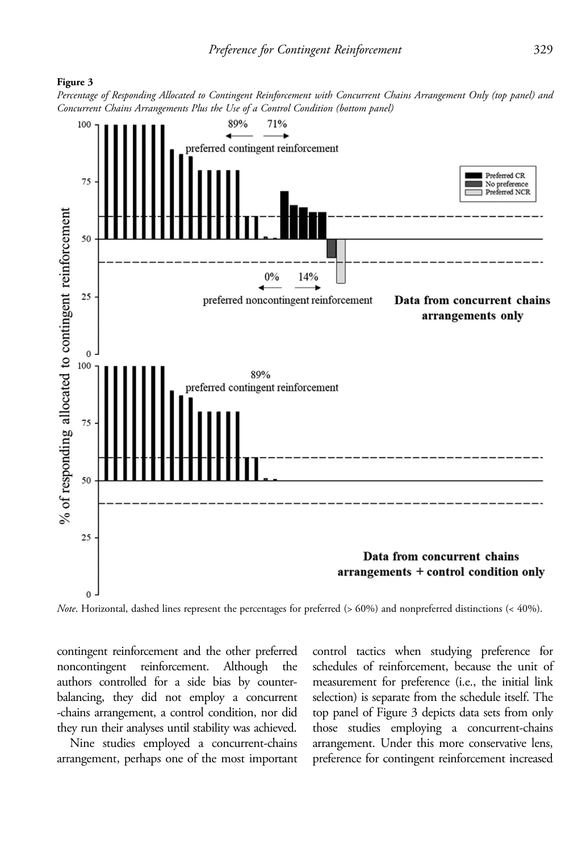

Percentage of Responding Allocated to Contingent Reinforcement with Concurrent Chains Arrangement Only (top panel) and Concurrent Chains Arrangements Plus the Use of a Control Condition (bottom panel)



Note. Horizontal, dashed lines represent the percentages for preferred (> 60%) and nonpreferred distinctions (< 40%).

contingent reinforcement and the other preferred noncontingent reinforcement. Although the authors controlled for a side bias by counterbalancing, they did not employ a concurrent -chains arrangement, a control condition, nor did they run their analyses until stability was achieved.

Nine studies employed a concurrent-chains arrangement, perhaps one of the most important control tactics when studying preference for schedules of reinforcement, because the unit of measurement for preference (i.e., the initial link selection) is separate from the schedule itself. The top panel of Figure 3 depicts data sets from only those studies employing a concurrent-chains arrangement. Under this more conservative lens, preference for contingent reinforcement increased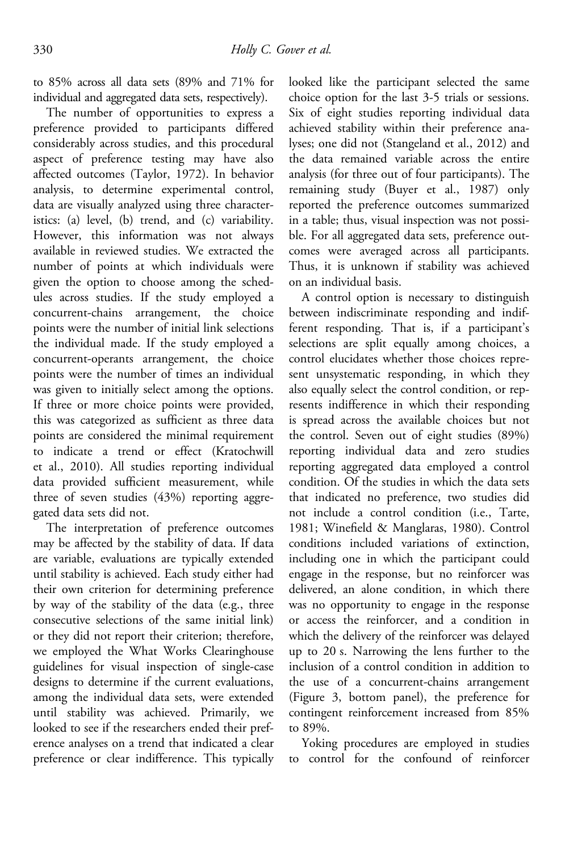to 85% across all data sets (89% and 71% for individual and aggregated data sets, respectively).

The number of opportunities to express a preference provided to participants differed considerably across studies, and this procedural aspect of preference testing may have also affected outcomes (Taylor, 1972). In behavior analysis, to determine experimental control, data are visually analyzed using three characteristics: (a) level, (b) trend, and (c) variability. However, this information was not always available in reviewed studies. We extracted the number of points at which individuals were given the option to choose among the schedules across studies. If the study employed a concurrent-chains arrangement, the choice points were the number of initial link selections the individual made. If the study employed a concurrent-operants arrangement, the choice points were the number of times an individual was given to initially select among the options. If three or more choice points were provided, this was categorized as sufficient as three data points are considered the minimal requirement to indicate a trend or effect (Kratochwill et al., 2010). All studies reporting individual data provided sufficient measurement, while three of seven studies (43%) reporting aggregated data sets did not.

The interpretation of preference outcomes may be affected by the stability of data. If data are variable, evaluations are typically extended until stability is achieved. Each study either had their own criterion for determining preference by way of the stability of the data (e.g., three consecutive selections of the same initial link) or they did not report their criterion; therefore, we employed the What Works Clearinghouse guidelines for visual inspection of single-case designs to determine if the current evaluations, among the individual data sets, were extended until stability was achieved. Primarily, we looked to see if the researchers ended their preference analyses on a trend that indicated a clear preference or clear indifference. This typically

looked like the participant selected the same choice option for the last 3-5 trials or sessions. Six of eight studies reporting individual data achieved stability within their preference analyses; one did not (Stangeland et al., 2012) and the data remained variable across the entire analysis (for three out of four participants). The remaining study (Buyer et al., 1987) only reported the preference outcomes summarized in a table; thus, visual inspection was not possible. For all aggregated data sets, preference outcomes were averaged across all participants. Thus, it is unknown if stability was achieved on an individual basis.

A control option is necessary to distinguish between indiscriminate responding and indifferent responding. That is, if a participant's selections are split equally among choices, a control elucidates whether those choices represent unsystematic responding, in which they also equally select the control condition, or represents indifference in which their responding is spread across the available choices but not the control. Seven out of eight studies (89%) reporting individual data and zero studies reporting aggregated data employed a control condition. Of the studies in which the data sets that indicated no preference, two studies did not include a control condition (i.e., Tarte, 1981; Winefield & Manglaras, 1980). Control conditions included variations of extinction, including one in which the participant could engage in the response, but no reinforcer was delivered, an alone condition, in which there was no opportunity to engage in the response or access the reinforcer, and a condition in which the delivery of the reinforcer was delayed up to 20 s. Narrowing the lens further to the inclusion of a control condition in addition to the use of a concurrent-chains arrangement (Figure 3, bottom panel), the preference for contingent reinforcement increased from 85% to 89%.

Yoking procedures are employed in studies to control for the confound of reinforcer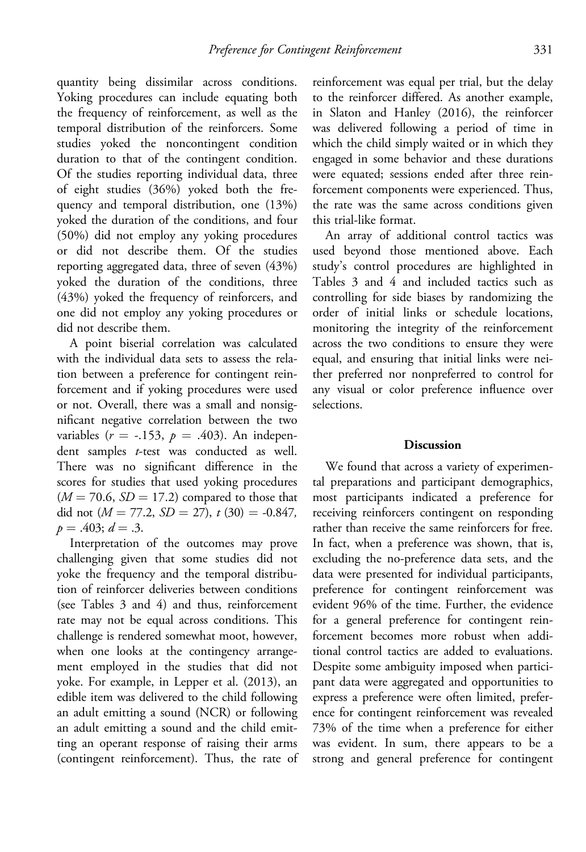quantity being dissimilar across conditions. Yoking procedures can include equating both the frequency of reinforcement, as well as the temporal distribution of the reinforcers. Some studies yoked the noncontingent condition duration to that of the contingent condition. Of the studies reporting individual data, three of eight studies (36%) yoked both the frequency and temporal distribution, one (13%) yoked the duration of the conditions, and four (50%) did not employ any yoking procedures or did not describe them. Of the studies reporting aggregated data, three of seven (43%) yoked the duration of the conditions, three (43%) yoked the frequency of reinforcers, and one did not employ any yoking procedures or did not describe them.

A point biserial correlation was calculated with the individual data sets to assess the relation between a preference for contingent reinforcement and if yoking procedures were used or not. Overall, there was a small and nonsignificant negative correlation between the two variables ( $r = -.153$ ,  $p = .403$ ). An independent samples t-test was conducted as well. There was no significant difference in the scores for studies that used yoking procedures  $(M = 70.6, SD = 17.2)$  compared to those that did not  $(M = 77.2, SD = 27)$ ,  $t(30) = -0.847$ ,  $p = .403; d = .3.$ 

Interpretation of the outcomes may prove challenging given that some studies did not yoke the frequency and the temporal distribution of reinforcer deliveries between conditions (see Tables 3 and 4) and thus, reinforcement rate may not be equal across conditions. This challenge is rendered somewhat moot, however, when one looks at the contingency arrangement employed in the studies that did not yoke. For example, in Lepper et al. (2013), an edible item was delivered to the child following an adult emitting a sound (NCR) or following an adult emitting a sound and the child emitting an operant response of raising their arms (contingent reinforcement). Thus, the rate of reinforcement was equal per trial, but the delay to the reinforcer differed. As another example, in Slaton and Hanley (2016), the reinforcer was delivered following a period of time in which the child simply waited or in which they engaged in some behavior and these durations were equated; sessions ended after three reinforcement components were experienced. Thus, the rate was the same across conditions given this trial-like format.

An array of additional control tactics was used beyond those mentioned above. Each study's control procedures are highlighted in Tables 3 and 4 and included tactics such as controlling for side biases by randomizing the order of initial links or schedule locations, monitoring the integrity of the reinforcement across the two conditions to ensure they were equal, and ensuring that initial links were neither preferred nor nonpreferred to control for any visual or color preference influence over selections.

#### **Discussion**

We found that across a variety of experimental preparations and participant demographics, most participants indicated a preference for receiving reinforcers contingent on responding rather than receive the same reinforcers for free. In fact, when a preference was shown, that is, excluding the no-preference data sets, and the data were presented for individual participants, preference for contingent reinforcement was evident 96% of the time. Further, the evidence for a general preference for contingent reinforcement becomes more robust when additional control tactics are added to evaluations. Despite some ambiguity imposed when participant data were aggregated and opportunities to express a preference were often limited, preference for contingent reinforcement was revealed 73% of the time when a preference for either was evident. In sum, there appears to be a strong and general preference for contingent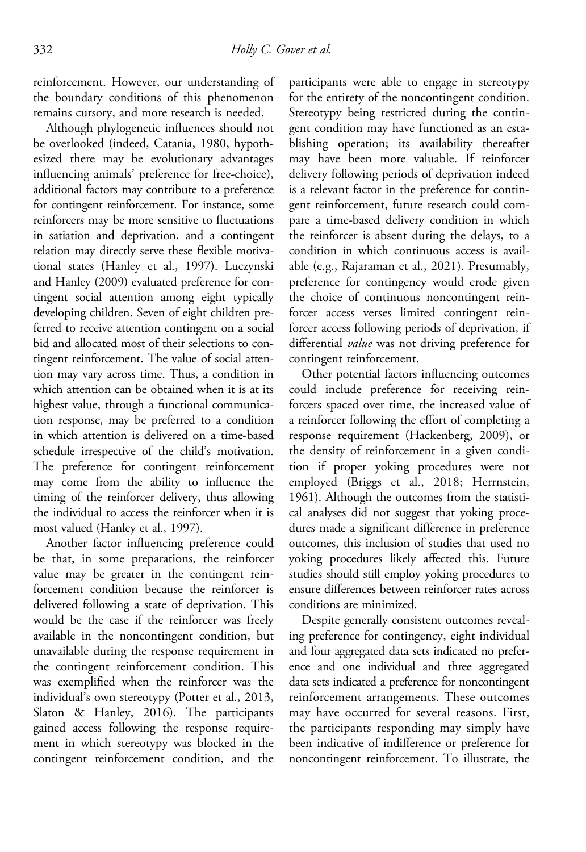reinforcement. However, our understanding of the boundary conditions of this phenomenon remains cursory, and more research is needed.

Although phylogenetic influences should not be overlooked (indeed, Catania, 1980, hypothesized there may be evolutionary advantages influencing animals' preference for free-choice), additional factors may contribute to a preference for contingent reinforcement. For instance, some reinforcers may be more sensitive to fluctuations in satiation and deprivation, and a contingent relation may directly serve these flexible motivational states (Hanley et al., 1997). Luczynski and Hanley (2009) evaluated preference for contingent social attention among eight typically developing children. Seven of eight children preferred to receive attention contingent on a social bid and allocated most of their selections to contingent reinforcement. The value of social attention may vary across time. Thus, a condition in which attention can be obtained when it is at its highest value, through a functional communication response, may be preferred to a condition in which attention is delivered on a time-based schedule irrespective of the child's motivation. The preference for contingent reinforcement may come from the ability to influence the timing of the reinforcer delivery, thus allowing the individual to access the reinforcer when it is most valued (Hanley et al., 1997).

Another factor influencing preference could be that, in some preparations, the reinforcer value may be greater in the contingent reinforcement condition because the reinforcer is delivered following a state of deprivation. This would be the case if the reinforcer was freely available in the noncontingent condition, but unavailable during the response requirement in the contingent reinforcement condition. This was exemplified when the reinforcer was the individual's own stereotypy (Potter et al., 2013, Slaton & Hanley, 2016). The participants gained access following the response requirement in which stereotypy was blocked in the contingent reinforcement condition, and the

participants were able to engage in stereotypy for the entirety of the noncontingent condition. Stereotypy being restricted during the contingent condition may have functioned as an establishing operation; its availability thereafter may have been more valuable. If reinforcer delivery following periods of deprivation indeed is a relevant factor in the preference for contingent reinforcement, future research could compare a time-based delivery condition in which the reinforcer is absent during the delays, to a condition in which continuous access is available (e.g., Rajaraman et al., 2021). Presumably, preference for contingency would erode given the choice of continuous noncontingent reinforcer access verses limited contingent reinforcer access following periods of deprivation, if differential *value* was not driving preference for contingent reinforcement.

Other potential factors influencing outcomes could include preference for receiving reinforcers spaced over time, the increased value of a reinforcer following the effort of completing a response requirement (Hackenberg, 2009), or the density of reinforcement in a given condition if proper yoking procedures were not employed (Briggs et al., 2018; Herrnstein, 1961). Although the outcomes from the statistical analyses did not suggest that yoking procedures made a significant difference in preference outcomes, this inclusion of studies that used no yoking procedures likely affected this. Future studies should still employ yoking procedures to ensure differences between reinforcer rates across conditions are minimized.

Despite generally consistent outcomes revealing preference for contingency, eight individual and four aggregated data sets indicated no preference and one individual and three aggregated data sets indicated a preference for noncontingent reinforcement arrangements. These outcomes may have occurred for several reasons. First, the participants responding may simply have been indicative of indifference or preference for noncontingent reinforcement. To illustrate, the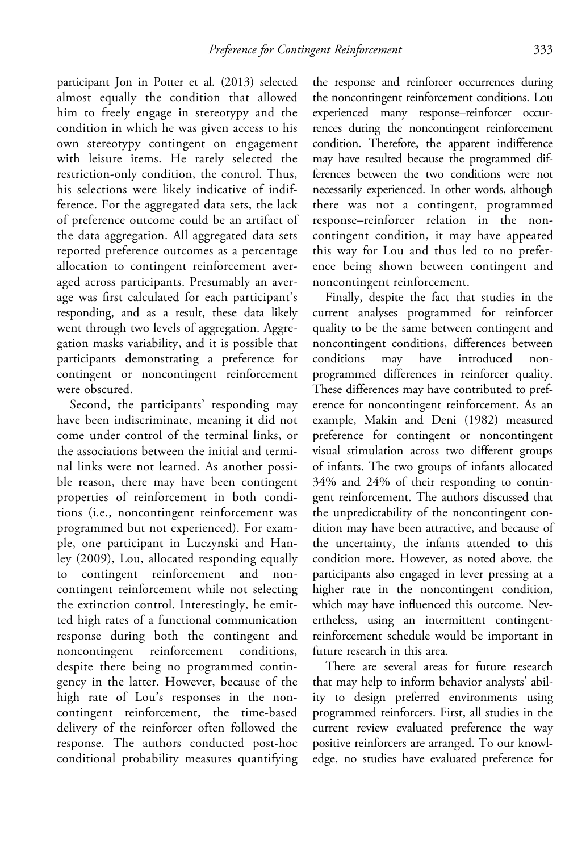participant Jon in Potter et al. (2013) selected almost equally the condition that allowed him to freely engage in stereotypy and the condition in which he was given access to his own stereotypy contingent on engagement with leisure items. He rarely selected the restriction-only condition, the control. Thus, his selections were likely indicative of indifference. For the aggregated data sets, the lack of preference outcome could be an artifact of the data aggregation. All aggregated data sets reported preference outcomes as a percentage allocation to contingent reinforcement averaged across participants. Presumably an average was first calculated for each participant's responding, and as a result, these data likely went through two levels of aggregation. Aggregation masks variability, and it is possible that participants demonstrating a preference for contingent or noncontingent reinforcement were obscured.

Second, the participants' responding may have been indiscriminate, meaning it did not come under control of the terminal links, or the associations between the initial and terminal links were not learned. As another possible reason, there may have been contingent properties of reinforcement in both conditions (i.e., noncontingent reinforcement was programmed but not experienced). For example, one participant in Luczynski and Hanley (2009), Lou, allocated responding equally to contingent reinforcement and noncontingent reinforcement while not selecting the extinction control. Interestingly, he emitted high rates of a functional communication response during both the contingent and noncontingent reinforcement conditions, despite there being no programmed contingency in the latter. However, because of the high rate of Lou's responses in the noncontingent reinforcement, the time-based delivery of the reinforcer often followed the response. The authors conducted post-hoc conditional probability measures quantifying

the response and reinforcer occurrences during the noncontingent reinforcement conditions. Lou experienced many response–reinforcer occurrences during the noncontingent reinforcement condition. Therefore, the apparent indifference may have resulted because the programmed differences between the two conditions were not necessarily experienced. In other words, although there was not a contingent, programmed response–reinforcer relation in the noncontingent condition, it may have appeared this way for Lou and thus led to no preference being shown between contingent and noncontingent reinforcement.

Finally, despite the fact that studies in the current analyses programmed for reinforcer quality to be the same between contingent and noncontingent conditions, differences between conditions may have introduced nonprogrammed differences in reinforcer quality. These differences may have contributed to preference for noncontingent reinforcement. As an example, Makin and Deni (1982) measured preference for contingent or noncontingent visual stimulation across two different groups of infants. The two groups of infants allocated 34% and 24% of their responding to contingent reinforcement. The authors discussed that the unpredictability of the noncontingent condition may have been attractive, and because of the uncertainty, the infants attended to this condition more. However, as noted above, the participants also engaged in lever pressing at a higher rate in the noncontingent condition, which may have influenced this outcome. Nevertheless, using an intermittent contingentreinforcement schedule would be important in future research in this area.

There are several areas for future research that may help to inform behavior analysts' ability to design preferred environments using programmed reinforcers. First, all studies in the current review evaluated preference the way positive reinforcers are arranged. To our knowledge, no studies have evaluated preference for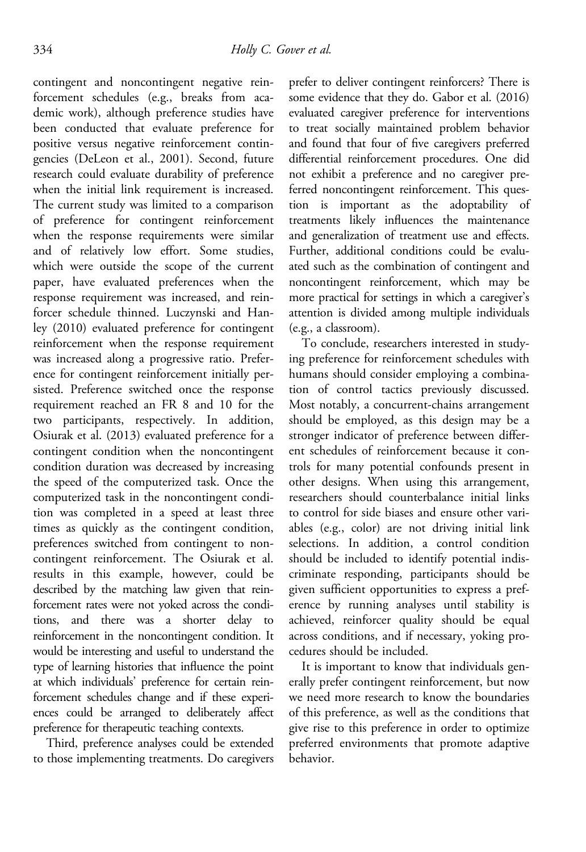contingent and noncontingent negative reinforcement schedules (e.g., breaks from academic work), although preference studies have been conducted that evaluate preference for positive versus negative reinforcement contingencies (DeLeon et al., 2001). Second, future research could evaluate durability of preference when the initial link requirement is increased. The current study was limited to a comparison of preference for contingent reinforcement when the response requirements were similar and of relatively low effort. Some studies, which were outside the scope of the current paper, have evaluated preferences when the response requirement was increased, and reinforcer schedule thinned. Luczynski and Hanley (2010) evaluated preference for contingent reinforcement when the response requirement was increased along a progressive ratio. Preference for contingent reinforcement initially persisted. Preference switched once the response requirement reached an FR 8 and 10 for the two participants, respectively. In addition, Osiurak et al. (2013) evaluated preference for a contingent condition when the noncontingent condition duration was decreased by increasing the speed of the computerized task. Once the computerized task in the noncontingent condition was completed in a speed at least three times as quickly as the contingent condition, preferences switched from contingent to noncontingent reinforcement. The Osiurak et al. results in this example, however, could be described by the matching law given that reinforcement rates were not yoked across the conditions, and there was a shorter delay to reinforcement in the noncontingent condition. It would be interesting and useful to understand the type of learning histories that influence the point at which individuals' preference for certain reinforcement schedules change and if these experiences could be arranged to deliberately affect preference for therapeutic teaching contexts.

Third, preference analyses could be extended to those implementing treatments. Do caregivers prefer to deliver contingent reinforcers? There is some evidence that they do. Gabor et al. (2016) evaluated caregiver preference for interventions to treat socially maintained problem behavior and found that four of five caregivers preferred differential reinforcement procedures. One did not exhibit a preference and no caregiver preferred noncontingent reinforcement. This question is important as the adoptability of treatments likely influences the maintenance and generalization of treatment use and effects. Further, additional conditions could be evaluated such as the combination of contingent and noncontingent reinforcement, which may be more practical for settings in which a caregiver's attention is divided among multiple individuals (e.g., a classroom).

To conclude, researchers interested in studying preference for reinforcement schedules with humans should consider employing a combination of control tactics previously discussed. Most notably, a concurrent-chains arrangement should be employed, as this design may be a stronger indicator of preference between different schedules of reinforcement because it controls for many potential confounds present in other designs. When using this arrangement, researchers should counterbalance initial links to control for side biases and ensure other variables (e.g., color) are not driving initial link selections. In addition, a control condition should be included to identify potential indiscriminate responding, participants should be given sufficient opportunities to express a preference by running analyses until stability is achieved, reinforcer quality should be equal across conditions, and if necessary, yoking procedures should be included.

It is important to know that individuals generally prefer contingent reinforcement, but now we need more research to know the boundaries of this preference, as well as the conditions that give rise to this preference in order to optimize preferred environments that promote adaptive behavior.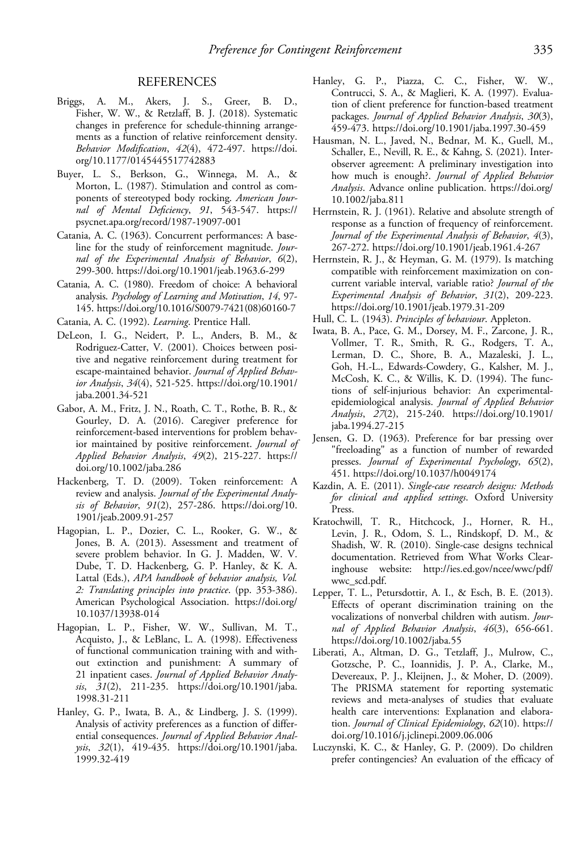- Briggs, A. M., Akers, J. S., Greer, B. D., Fisher, W. W., & Retzlaff, B. J. (2018). Systematic changes in preference for schedule-thinning arrangements as a function of relative reinforcement density. Behavior Modification, 42(4), 472-497. [https://doi.](https://doi.org/10.1177/0145445517742883) [org/10.1177/0145445517742883](https://doi.org/10.1177/0145445517742883)
- Buyer, L. S., Berkson, G., Winnega, M. A., & Morton, L. (1987). Stimulation and control as components of stereotyped body rocking. American Journal of Mental Deficiency, 91, 543-547. [https://](https://psycnet.apa.org/record/1987-19097-001) [psycnet.apa.org/record/1987-19097-001](https://psycnet.apa.org/record/1987-19097-001)
- Catania, A. C. (1963). Concurrent performances: A baseline for the study of reinforcement magnitude. Journal of the Experimental Analysis of Behavior, 6(2), 299-300.<https://doi.org/10.1901/jeab.1963.6-299>
- Catania, A. C. (1980). Freedom of choice: A behavioral analysis. Psychology of Learning and Motivation, 14, 97- 145. [https://doi.org/10.1016/S0079-7421\(08\)60160-7](https://doi.org/10.1016/S0079-7421(08)60160-7)
- Catania, A. C. (1992). Learning. Prentice Hall.
- DeLeon, I. G., Neidert, P. L., Anders, B. M., & Rodriguez-Catter, V. (2001). Choices between positive and negative reinforcement during treatment for escape-maintained behavior. Journal of Applied Behavior Analysis, 34(4), 521-525. [https://doi.org/10.1901/](https://doi.org/10.1901/jaba.2001.34-521) [jaba.2001.34-521](https://doi.org/10.1901/jaba.2001.34-521)
- Gabor, A. M., Fritz, J. N., Roath, C. T., Rothe, B. R., & Gourley, D. A. (2016). Caregiver preference for reinforcement-based interventions for problem behavior maintained by positive reinforcement. Journal of Applied Behavior Analysis, 49(2), 215-227. [https://](https://doi.org/10.1002/jaba.286) [doi.org/10.1002/jaba.286](https://doi.org/10.1002/jaba.286)
- Hackenberg, T. D. (2009). Token reinforcement: A review and analysis. Journal of the Experimental Analysis of Behavior, 91(2), 257-286. [https://doi.org/10.](https://doi.org/10.1901/jeab.2009.91-257) [1901/jeab.2009.91-257](https://doi.org/10.1901/jeab.2009.91-257)
- Hagopian, L. P., Dozier, C. L., Rooker, G. W., & Jones, B. A. (2013). Assessment and treatment of severe problem behavior. In G. J. Madden, W. V. Dube, T. D. Hackenberg, G. P. Hanley, & K. A. Lattal (Eds.), APA handbook of behavior analysis, Vol. 2: Translating principles into practice. (pp. 353-386). American Psychological Association. [https://doi.org/](https://doi.org/10.1037/13938-014) [10.1037/13938-014](https://doi.org/10.1037/13938-014)
- Hagopian, L. P., Fisher, W. W., Sullivan, M. T., Acquisto, J., & LeBlanc, L. A. (1998). Effectiveness of functional communication training with and without extinction and punishment: A summary of 21 inpatient cases. Journal of Applied Behavior Analysis, 31(2), 211-235. [https://doi.org/10.1901/jaba.](https://doi.org/10.1901/jaba.1998.31-211) [1998.31-211](https://doi.org/10.1901/jaba.1998.31-211)
- Hanley, G. P., Iwata, B. A., & Lindberg, J. S. (1999). Analysis of activity preferences as a function of differential consequences. Journal of Applied Behavior Analysis, 32(1), 419-435. [https://doi.org/10.1901/jaba.](https://doi.org/10.1901/jaba.1999.32-419) [1999.32-419](https://doi.org/10.1901/jaba.1999.32-419)
- Hanley, G. P., Piazza, C. C., Fisher, W. W., Contrucci, S. A., & Maglieri, K. A. (1997). Evaluation of client preference for function-based treatment packages. Journal of Applied Behavior Analysis, 30(3), 459-473.<https://doi.org/10.1901/jaba.1997.30-459>
- Hausman, N. L., Javed, N., Bednar, M. K., Guell, M., Schaller, E., Nevill, R. E., & Kahng, S. (2021). Interobserver agreement: A preliminary investigation into how much is enough?. Journal of Applied Behavior Analysis. Advance online publication. [https://doi.org/](https://doi.org/10.1002/jaba.811) [10.1002/jaba.811](https://doi.org/10.1002/jaba.811)
- Herrnstein, R. J. (1961). Relative and absolute strength of response as a function of frequency of reinforcement. Journal of the Experimental Analysis of Behavior, 4(3), 267-272.<https://doi.org/10.1901/jeab.1961.4-267>
- Herrnstein, R. J., & Heyman, G. M. (1979). Is matching compatible with reinforcement maximization on concurrent variable interval, variable ratio? Journal of the Experimental Analysis of Behavior, 31(2), 209-223. <https://doi.org/10.1901/jeab.1979.31-209>
- Hull, C. L. (1943). Principles of behaviour. Appleton.
- Iwata, B. A., Pace, G. M., Dorsey, M. F., Zarcone, J. R., Vollmer, T. R., Smith, R. G., Rodgers, T. A., Lerman, D. C., Shore, B. A., Mazaleski, J. L., Goh, H.-L., Edwards-Cowdery, G., Kalsher, M. J., McCosh, K. C., & Willis, K. D. (1994). The functions of self-injurious behavior: An experimentalepidemiological analysis. Journal of Applied Behavior Analysis, 27(2), 215-240. [https://doi.org/10.1901/](https://doi.org/10.1901/jaba.1994.27-215) [jaba.1994.27-215](https://doi.org/10.1901/jaba.1994.27-215)
- Jensen, G. D. (1963). Preference for bar pressing over "freeloading" as a function of number of rewarded presses. Journal of Experimental Psychology, 65(2), 451.<https://doi.org/10.1037/h0049174>
- Kazdin, A. E. (2011). Single-case research designs: Methods for clinical and applied settings. Oxford University Press.
- Kratochwill, T. R., Hitchcock, J., Horner, R. H., Levin, J. R., Odom, S. L., Rindskopf, D. M., & Shadish, W. R. (2010). Single-case designs technical documentation. Retrieved from What Works Clearinghouse website: [http://ies.ed.gov/ncee/wwc/pdf/](http://ies.ed.gov/ncee/wwc/pdf/wwc_scd.pdf) [wwc\\_scd.pdf.](http://ies.ed.gov/ncee/wwc/pdf/wwc_scd.pdf)
- Lepper, T. L., Petursdottir, A. I., & Esch, B. E. (2013). Effects of operant discrimination training on the vocalizations of nonverbal children with autism. Journal of Applied Behavior Analysis, 46(3), 656-661. <https://doi.org/10.1002/jaba.55>
- Liberati, A., Altman, D. G., Tetzlaff, J., Mulrow, C., Gotzsche, P. C., Ioannidis, J. P. A., Clarke, M., Devereaux, P. J., Kleijnen, J., & Moher, D. (2009). The PRISMA statement for reporting systematic reviews and meta-analyses of studies that evaluate health care interventions: Explanation and elaboration. Journal of Clinical Epidemiology, 62(10). [https://](https://doi.org/10.1016/j.jclinepi.2009.06.006) [doi.org/10.1016/j.jclinepi.2009.06.006](https://doi.org/10.1016/j.jclinepi.2009.06.006)
- Luczynski, K. C., & Hanley, G. P. (2009). Do children prefer contingencies? An evaluation of the efficacy of